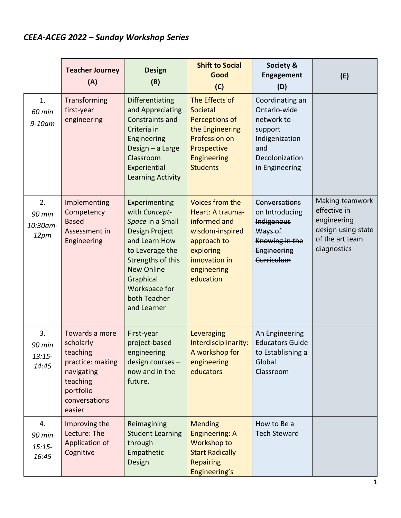## *CEEA-ACEG 2022 – Sunday Workshop Series*

|                                   | <b>Teacher Journey</b><br>(A)                                                                                                 | <b>Design</b><br>(B)                                                                                                                                                                                                   | <b>Shift to Social</b><br>Good<br>(C)                                                                                                           | Society &<br><b>Engagement</b><br>(D)                                                                                 | (E)                                                                                                    |
|-----------------------------------|-------------------------------------------------------------------------------------------------------------------------------|------------------------------------------------------------------------------------------------------------------------------------------------------------------------------------------------------------------------|-------------------------------------------------------------------------------------------------------------------------------------------------|-----------------------------------------------------------------------------------------------------------------------|--------------------------------------------------------------------------------------------------------|
| 1.<br>60 min<br>9-10am            | Transforming<br>first-year<br>engineering                                                                                     | Differentiating<br>and Appreciating<br><b>Constraints and</b><br>Criteria in<br>Engineering<br>Design - a Large<br>Classroom<br>Experiential<br><b>Learning Activity</b>                                               | The Effects of<br>Societal<br>Perceptions of<br>the Engineering<br>Profession on<br>Prospective<br>Engineering<br><b>Students</b>               | Coordinating an<br>Ontario-wide<br>network to<br>support<br>Indigenization<br>and<br>Decolonization<br>in Engineering |                                                                                                        |
| 2.<br>90 min<br>10:30am-<br>12pm  | Implementing<br>Competency<br><b>Based</b><br>Assessment in<br>Engineering                                                    | Experimenting<br>with Concept-<br>Space in a Small<br><b>Design Project</b><br>and Learn How<br>to Leverage the<br>Strengths of this<br><b>New Online</b><br>Graphical<br>Workspace for<br>both Teacher<br>and Learner | Voices from the<br>Heart: A trauma-<br>informed and<br>wisdom-inspired<br>approach to<br>exploring<br>innovation in<br>engineering<br>education | <b>Conversations</b><br>on Introducing<br><b>Indigenous</b><br>Ways of<br>Knowing in the<br>Engineering<br>Curriculum | Making teamwork<br>effective in<br>engineering<br>design using state<br>of the art team<br>diagnostics |
| 3.<br>90 min<br>$13:15-$<br>14:45 | Towards a more<br>scholarly<br>teaching<br>practice: making<br>navigating<br>teaching<br>portfolio<br>conversations<br>easier | First-year<br>project-based<br>engineering<br>design courses -<br>now and in the<br>future.                                                                                                                            | Leveraging<br>Interdisciplinarity:<br>A workshop for<br>engineering<br>educators                                                                | An Engineering<br><b>Educators Guide</b><br>to Establishing a<br>Global<br>Classroom                                  |                                                                                                        |
| 4.<br>90 min<br>$15:15-$<br>16:45 | Improving the<br>Lecture: The<br>Application of<br>Cognitive                                                                  | Reimagining<br><b>Student Learning</b><br>through<br>Empathetic<br>Design                                                                                                                                              | <b>Mending</b><br>Engineering: A<br>Workshop to<br><b>Start Radically</b><br><b>Repairing</b><br>Engineering's                                  | How to Be a<br><b>Tech Steward</b>                                                                                    |                                                                                                        |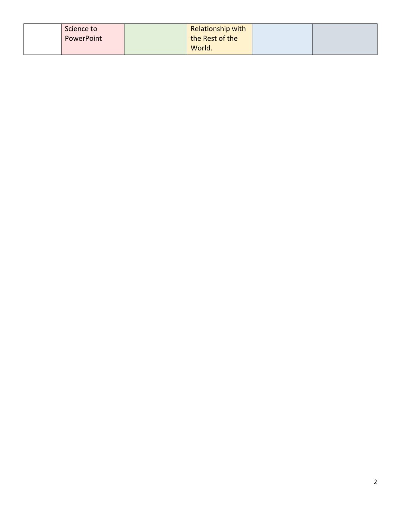| Science to | Relationship with |  |
|------------|-------------------|--|
| PowerPoint | the Rest of the   |  |
|            | World.            |  |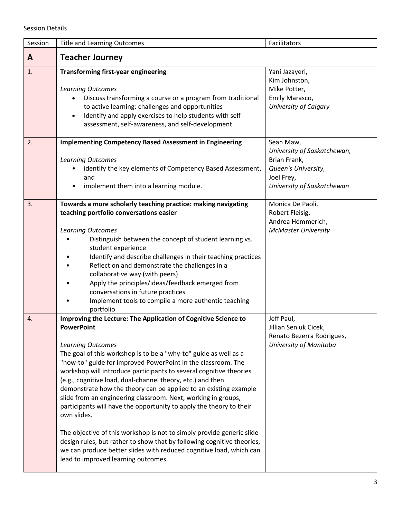## Session Details

| Session | <b>Title and Learning Outcomes</b>                                                                                                                                                                                                                                                                                                                                                                                                                                                                                                                                                                                                                                                                                                                                                                                                                                                  | Facilitators                                                                                                                |
|---------|-------------------------------------------------------------------------------------------------------------------------------------------------------------------------------------------------------------------------------------------------------------------------------------------------------------------------------------------------------------------------------------------------------------------------------------------------------------------------------------------------------------------------------------------------------------------------------------------------------------------------------------------------------------------------------------------------------------------------------------------------------------------------------------------------------------------------------------------------------------------------------------|-----------------------------------------------------------------------------------------------------------------------------|
| A       | <b>Teacher Journey</b>                                                                                                                                                                                                                                                                                                                                                                                                                                                                                                                                                                                                                                                                                                                                                                                                                                                              |                                                                                                                             |
| 1.      | <b>Transforming first-year engineering</b><br><b>Learning Outcomes</b><br>Discuss transforming a course or a program from traditional<br>to active learning: challenges and opportunities<br>Identify and apply exercises to help students with self-<br>$\bullet$<br>assessment, self-awareness, and self-development                                                                                                                                                                                                                                                                                                                                                                                                                                                                                                                                                              | Yani Jazayeri,<br>Kim Johnston,<br>Mike Potter,<br>Emily Marasco,<br>University of Calgary                                  |
| 2.      | <b>Implementing Competency Based Assessment in Engineering</b><br><b>Learning Outcomes</b><br>identify the key elements of Competency Based Assessment,<br>and<br>implement them into a learning module.                                                                                                                                                                                                                                                                                                                                                                                                                                                                                                                                                                                                                                                                            | Sean Maw,<br>University of Saskatchewan,<br>Brian Frank,<br>Queen's University,<br>Joel Frey,<br>University of Saskatchewan |
| 3.      | Towards a more scholarly teaching practice: making navigating<br>teaching portfolio conversations easier<br><b>Learning Outcomes</b><br>Distinguish between the concept of student learning vs.<br>student experience<br>Identify and describe challenges in their teaching practices<br>Reflect on and demonstrate the challenges in a<br>collaborative way (with peers)<br>Apply the principles/ideas/feedback emerged from<br>conversations in future practices<br>Implement tools to compile a more authentic teaching<br>portfolio                                                                                                                                                                                                                                                                                                                                             | Monica De Paoli,<br>Robert Fleisig,<br>Andrea Hemmerich,<br><b>McMaster University</b>                                      |
| 4.      | Improving the Lecture: The Application of Cognitive Science to<br><b>PowerPoint</b><br><b>Learning Outcomes</b><br>The goal of this workshop is to be a "why-to" guide as well as a<br>"how-to" guide for improved PowerPoint in the classroom. The<br>workshop will introduce participants to several cognitive theories<br>(e.g., cognitive load, dual-channel theory, etc.) and then<br>demonstrate how the theory can be applied to an existing example<br>slide from an engineering classroom. Next, working in groups,<br>participants will have the opportunity to apply the theory to their<br>own slides.<br>The objective of this workshop is not to simply provide generic slide<br>design rules, but rather to show that by following cognitive theories,<br>we can produce better slides with reduced cognitive load, which can<br>lead to improved learning outcomes. | Jeff Paul,<br>Jillian Seniuk Cicek,<br>Renato Bezerra Rodrigues,<br>University of Manitoba                                  |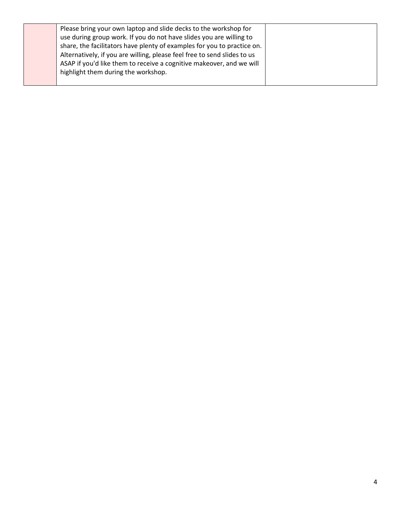| Please bring your own laptop and slide decks to the workshop for         |  |
|--------------------------------------------------------------------------|--|
| use during group work. If you do not have slides you are willing to      |  |
| share, the facilitators have plenty of examples for you to practice on.  |  |
| Alternatively, if you are willing, please feel free to send slides to us |  |
| ASAP if you'd like them to receive a cognitive makeover, and we will     |  |
| highlight them during the workshop.                                      |  |
|                                                                          |  |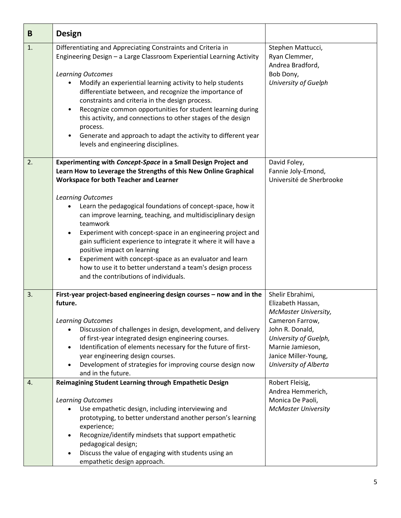| B  | <b>Design</b>                                                                                                                                                                                                                                                                                                                                                                                                                                                                                                                                                                                                                                                                                                   |                                                                                                                                                                                                          |
|----|-----------------------------------------------------------------------------------------------------------------------------------------------------------------------------------------------------------------------------------------------------------------------------------------------------------------------------------------------------------------------------------------------------------------------------------------------------------------------------------------------------------------------------------------------------------------------------------------------------------------------------------------------------------------------------------------------------------------|----------------------------------------------------------------------------------------------------------------------------------------------------------------------------------------------------------|
| 1. | Differentiating and Appreciating Constraints and Criteria in<br>Engineering Design - a Large Classroom Experiential Learning Activity<br><b>Learning Outcomes</b><br>Modify an experiential learning activity to help students<br>differentiate between, and recognize the importance of<br>constraints and criteria in the design process.<br>Recognize common opportunities for student learning during<br>this activity, and connections to other stages of the design<br>process.<br>Generate and approach to adapt the activity to different year<br>$\bullet$<br>levels and engineering disciplines.                                                                                                      | Stephen Mattucci,<br>Ryan Clemmer,<br>Andrea Bradford,<br>Bob Dony,<br>University of Guelph                                                                                                              |
| 2. | Experimenting with Concept-Space in a Small Design Project and<br>Learn How to Leverage the Strengths of this New Online Graphical<br>Workspace for both Teacher and Learner<br><b>Learning Outcomes</b><br>Learn the pedagogical foundations of concept-space, how it<br>can improve learning, teaching, and multidisciplinary design<br>teamwork<br>Experiment with concept-space in an engineering project and<br>$\bullet$<br>gain sufficient experience to integrate it where it will have a<br>positive impact on learning<br>Experiment with concept-space as an evaluator and learn<br>$\bullet$<br>how to use it to better understand a team's design process<br>and the contributions of individuals. | David Foley,<br>Fannie Joly-Emond,<br>Université de Sherbrooke                                                                                                                                           |
| 3. | First-year project-based engineering design courses - now and in the<br>future.<br><b>Learning Outcomes</b><br>Discussion of challenges in design, development, and delivery<br>of first-year integrated design engineering courses.<br>Identification of elements necessary for the future of first-<br>$\bullet$<br>year engineering design courses.<br>Development of strategies for improving course design now<br>and in the future.                                                                                                                                                                                                                                                                       | Shelir Ebrahimi,<br>Elizabeth Hassan,<br><b>McMaster University,</b><br>Cameron Farrow,<br>John R. Donald,<br>University of Guelph,<br>Marnie Jamieson,<br>Janice Miller-Young,<br>University of Alberta |
| 4. | Reimagining Student Learning through Empathetic Design<br><b>Learning Outcomes</b><br>Use empathetic design, including interviewing and<br>prototyping, to better understand another person's learning<br>experience;<br>Recognize/identify mindsets that support empathetic<br>pedagogical design;<br>Discuss the value of engaging with students using an<br>empathetic design approach.                                                                                                                                                                                                                                                                                                                      | Robert Fleisig,<br>Andrea Hemmerich,<br>Monica De Paoli,<br><b>McMaster University</b>                                                                                                                   |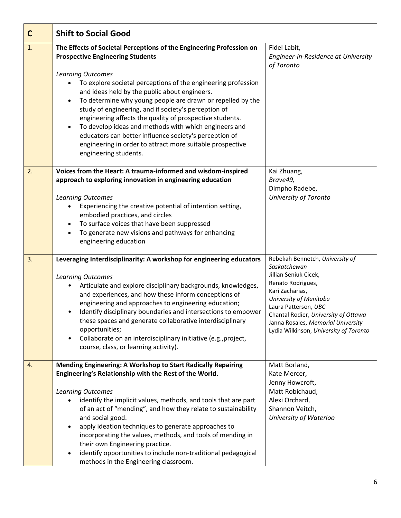| $\mathbf C$ | <b>Shift to Social Good</b>                                                                                                                                                                                                                                                                                                                                                                                                                                                                                                                                                                                                                                                        |                                                                                                                                                                                                                                                                                            |  |  |
|-------------|------------------------------------------------------------------------------------------------------------------------------------------------------------------------------------------------------------------------------------------------------------------------------------------------------------------------------------------------------------------------------------------------------------------------------------------------------------------------------------------------------------------------------------------------------------------------------------------------------------------------------------------------------------------------------------|--------------------------------------------------------------------------------------------------------------------------------------------------------------------------------------------------------------------------------------------------------------------------------------------|--|--|
| 1.          | The Effects of Societal Perceptions of the Engineering Profession on<br><b>Prospective Engineering Students</b><br><b>Learning Outcomes</b><br>To explore societal perceptions of the engineering profession<br>and ideas held by the public about engineers.<br>To determine why young people are drawn or repelled by the<br>$\bullet$<br>study of engineering, and if society's perception of<br>engineering affects the quality of prospective students.<br>To develop ideas and methods with which engineers and<br>$\bullet$<br>educators can better influence society's perception of<br>engineering in order to attract more suitable prospective<br>engineering students. | Fidel Labit,<br>Engineer-in-Residence at University<br>of Toronto                                                                                                                                                                                                                          |  |  |
| 2.          | Voices from the Heart: A trauma-informed and wisdom-inspired<br>approach to exploring innovation in engineering education<br><b>Learning Outcomes</b><br>Experiencing the creative potential of intention setting,<br>embodied practices, and circles<br>To surface voices that have been suppressed<br>To generate new visions and pathways for enhancing<br>engineering education                                                                                                                                                                                                                                                                                                | Kai Zhuang,<br>Brave49,<br>Dimpho Radebe,<br>University of Toronto                                                                                                                                                                                                                         |  |  |
| 3.          | Leveraging Interdisciplinarity: A workshop for engineering educators<br><b>Learning Outcomes</b><br>Articulate and explore disciplinary backgrounds, knowledges,<br>and experiences, and how these inform conceptions of<br>engineering and approaches to engineering education;<br>Identify disciplinary boundaries and intersections to empower<br>these spaces and generate collaborative interdisciplinary<br>opportunities;<br>Collaborate on an interdisciplinary initiative (e.g., project,<br>course, class, or learning activity).                                                                                                                                        | Rebekah Bennetch, University of<br>Saskatchewan<br>Jillian Seniuk Cicek,<br>Renato Rodrigues,<br>Kari Zacharias,<br>University of Manitoba<br>Laura Patterson, UBC<br>Chantal Rodier, University of Ottawa<br>Janna Rosales, Memorial University<br>Lydia Wilkinson, University of Toronto |  |  |
| 4.          | <b>Mending Engineering: A Workshop to Start Radically Repairing</b><br>Engineering's Relationship with the Rest of the World.<br><b>Learning Outcomes</b><br>identify the implicit values, methods, and tools that are part<br>of an act of "mending", and how they relate to sustainability<br>and social good.<br>apply ideation techniques to generate approaches to<br>$\bullet$<br>incorporating the values, methods, and tools of mending in<br>their own Engineering practice.<br>identify opportunities to include non-traditional pedagogical<br>methods in the Engineering classroom.                                                                                    | Matt Borland,<br>Kate Mercer,<br>Jenny Howcroft,<br>Matt Robichaud,<br>Alexi Orchard,<br>Shannon Veitch,<br>University of Waterloo                                                                                                                                                         |  |  |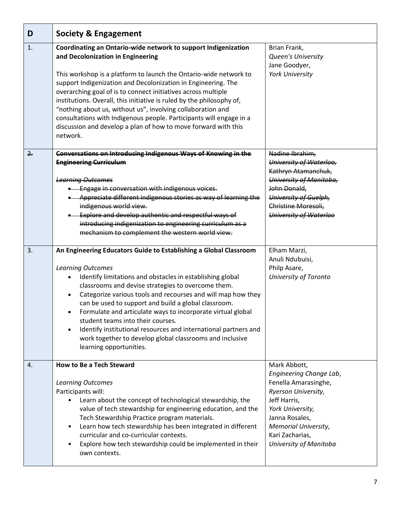| D   | <b>Society &amp; Engagement</b>                                                                                                                                                                                                                                                                                                                                                                                                                                                                                                                                                                                                               |                                                                                                                                                                                                                          |
|-----|-----------------------------------------------------------------------------------------------------------------------------------------------------------------------------------------------------------------------------------------------------------------------------------------------------------------------------------------------------------------------------------------------------------------------------------------------------------------------------------------------------------------------------------------------------------------------------------------------------------------------------------------------|--------------------------------------------------------------------------------------------------------------------------------------------------------------------------------------------------------------------------|
| 1.  | Coordinating an Ontario-wide network to support Indigenization<br>and Decolonization in Engineering<br>This workshop is a platform to launch the Ontario-wide network to<br>support Indigenization and Decolonization in Engineering. The<br>overarching goal of is to connect initiatives across multiple<br>institutions. Overall, this initiative is ruled by the philosophy of,<br>"nothing about us, without us", involving collaboration and<br>consultations with Indigenous people. Participants will engage in a<br>discussion and develop a plan of how to move forward with this<br>network.                                       | Brian Frank,<br>Queen's University<br>Jane Goodyer,<br>York University                                                                                                                                                   |
| 2.5 | Conversations on Introducing Indigenous Ways of Knowing in the<br><b>Engineering Curriculum</b><br><b>Learning Outcomes</b><br><b>.</b> Engage in conversation with indigenous voices.<br>• Appreciate different indigenous stories as way of learning the<br>indigenous world view.<br>Explore and develop authentic and respectful ways of<br>introducing indigenization to engineering curriculum as a<br>mechanism to complement the western world view.                                                                                                                                                                                  | Nadine Ibrahim,<br>University of Waterloo,<br>Kathryn Atamanchuk,<br>University of Manitoba,<br>John Donald,<br>University of Guelph,<br>Christine Moresoli,<br>University of Waterloo                                   |
| 3.  | An Engineering Educators Guide to Establishing a Global Classroom<br><b>Learning Outcomes</b><br>Identify limitations and obstacles in establishing global<br>classrooms and devise strategies to overcome them.<br>Categorize various tools and recourses and will map how they<br>$\bullet$<br>can be used to support and build a global classroom.<br>Formulate and articulate ways to incorporate virtual global<br>$\bullet$<br>student teams into their courses.<br>Identify institutional resources and international partners and<br>$\bullet$<br>work together to develop global classrooms and inclusive<br>learning opportunities. | Elham Marzi,<br>Anuli Ndubuisi,<br>Philp Asare,<br>University of Toronto                                                                                                                                                 |
| 4.  | <b>How to Be a Tech Steward</b><br>Learning Outcomes<br>Participants will:<br>Learn about the concept of technological stewardship, the<br>$\bullet$<br>value of tech stewardship for engineering education, and the<br>Tech Stewardship Practice program materials.<br>Learn how tech stewardship has been integrated in different<br>$\bullet$<br>curricular and co-curricular contexts.<br>Explore how tech stewardship could be implemented in their<br>own contexts.                                                                                                                                                                     | Mark Abbott,<br>Engineering Change Lab,<br>Fenella Amarasinghe,<br>Ryerson University,<br>Jeff Harris,<br>York University,<br>Janna Rosales,<br><b>Memorial University,</b><br>Kari Zacharias,<br>University of Manitoba |